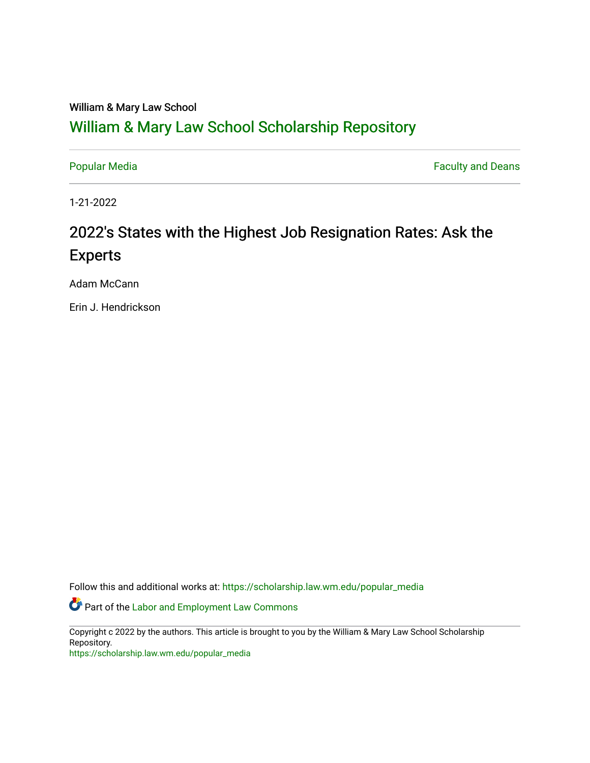#### William & Mary Law School

### [William & Mary Law School Scholarship Repository](https://scholarship.law.wm.edu/)

[Popular Media](https://scholarship.law.wm.edu/popular_media) **Faculty and Deans Faculty and Deans** 

1-21-2022

## 2022's States with the Highest Job Resignation Rates: Ask the Experts

Adam McCann

Erin J. Hendrickson

Follow this and additional works at: [https://scholarship.law.wm.edu/popular\\_media](https://scholarship.law.wm.edu/popular_media?utm_source=scholarship.law.wm.edu%2Fpopular_media%2F564&utm_medium=PDF&utm_campaign=PDFCoverPages)

**P** Part of the [Labor and Employment Law Commons](http://network.bepress.com/hgg/discipline/909?utm_source=scholarship.law.wm.edu%2Fpopular_media%2F564&utm_medium=PDF&utm_campaign=PDFCoverPages)

Copyright c 2022 by the authors. This article is brought to you by the William & Mary Law School Scholarship Repository.

[https://scholarship.law.wm.edu/popular\\_media](https://scholarship.law.wm.edu/popular_media)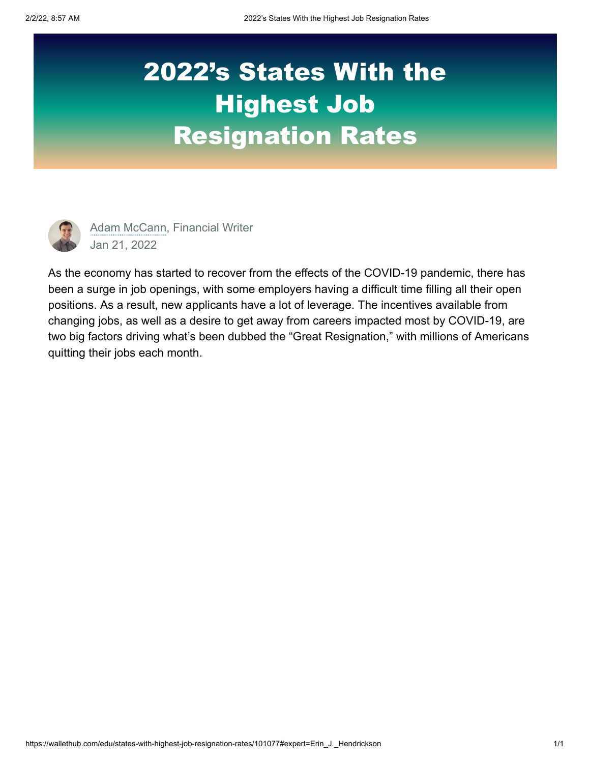# 2022's States With the Highest Job Resignation Rates



[Adam McCann,](https://wallethub.com/profile/15598394i) Financial Writer Jan 21, 2022

As the economy has started to recover from the effects of the COVID-19 pandemic, there has been a surge in job openings, with some employers having a difficult time filling all their open positions. As a result, new applicants have a lot of leverage. The incentives available from changing jobs, as well as a desire to get away from careers impacted most by COVID-19, are two big factors driving what's been dubbed the "Great Resignation," with millions of Americans quitting their jobs each month.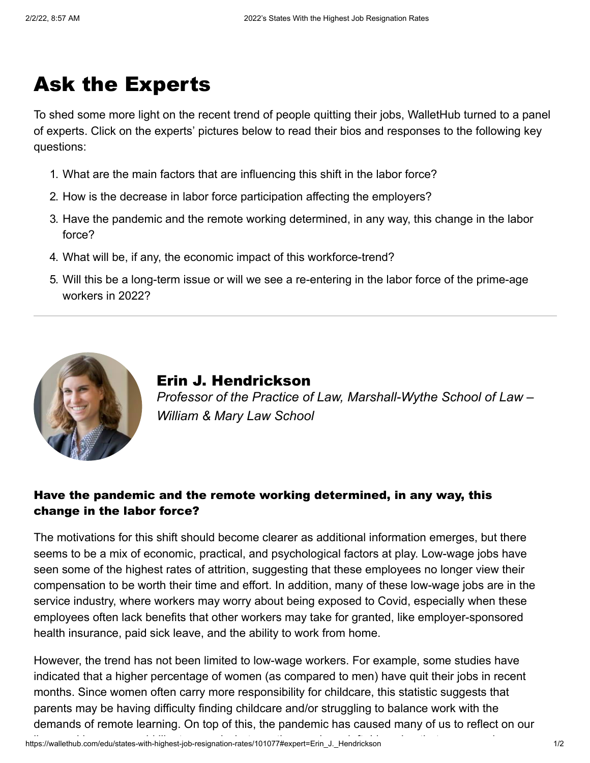# Ask the Experts

To shed some more light on the recent trend of people quitting their jobs, WalletHub turned to a panel of experts. Click on the experts' pictures below to read their bios and responses to the following key questions:

- 1. What are the main factors that are influencing this shift in the labor force?
- 2. How is the decrease in labor force participation affecting the employers?
- 3. Have the pandemic and the remote working determined, in any way, this change in the labor force?
- 4. What will be, if any, the economic impact of this workforce-trend?
- 5. Will this be a long-term issue or will we see a re-entering in the labor force of the prime-age workers in 2022?



Erin J. Hendrickson *Professor of the Practice of Law, Marshall-Wythe School of Law – William & Mary Law School*

### Have the pandemic and the remote working determined, in any way, this change in the labor force?

The motivations for this shift should become clearer as additional information emerges, but there seems to be a mix of economic, practical, and psychological factors at play. Low-wage jobs have seen some of the highest rates of attrition, suggesting that these employees no longer view their compensation to be worth their time and effort. In addition, many of these low-wage jobs are in the service industry, where workers may worry about being exposed to Covid, especially when these employees often lack benefits that other workers may take for granted, like employer-sponsored health insurance, paid sick leave, and the ability to work from home.

However, the trend has not been limited to low-wage workers. For example, some studies have indicated that a higher percentage of women (as compared to men) have quit their jobs in recent months. Since women often carry more responsibility for childcare, this statistic suggests that parents may be having difficulty finding childcare and/or struggling to balance work with the demands of remote learning. On top of this, the pandemic has caused many of us to reflect on our